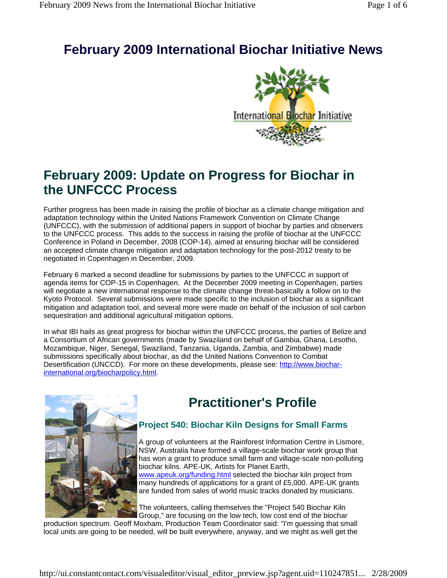# **February 2009 International Biochar Initiative News**



# **February 2009: Update on Progress for Biochar in the UNFCCC Process**

Further progress has been made in raising the profile of biochar as a climate change mitigation and adaptation technology within the United Nations Framework Convention on Climate Change (UNFCCC), with the submission of additional papers in support of biochar by parties and observers to the UNFCCC process. This adds to the success in raising the profile of biochar at the UNFCCC Conference in Poland in December, 2008 (COP-14), aimed at ensuring biochar will be considered an accepted climate change mitigation and adaptation technology for the post-2012 treaty to be negotiated in Copenhagen in December, 2009.

February 6 marked a second deadline for submissions by parties to the UNFCCC in support of agenda items for COP-15 in Copenhagen. At the December 2009 meeting in Copenhagen, parties will negotiate a new international response to the climate change threat-basically a follow on to the Kyoto Protocol. Several submissions were made specific to the inclusion of biochar as a significant mitigation and adaptation tool, and several more were made on behalf of the inclusion of soil carbon sequestration and additional agricultural mitigation options.

In what IBI hails as great progress for biochar within the UNFCCC process, the parties of Belize and a Consortium of African governments (made by Swaziland on behalf of Gambia, Ghana, Lesotho, Mozambique, Niger, Senegal, Swaziland, Tanzania, Uganda, Zambia, and Zimbabwe) made submissions specifically about biochar, as did the United Nations Convention to Combat Desertification (UNCCD). For more on these developments, please see: http://www.biocharinternational.org/biocharpolicy.html.



# **Practitioner's Profile**

## **Project 540: Biochar Kiln Designs for Small Farms**

A group of volunteers at the Rainforest Information Centre in Lismore, NSW, Australia have formed a village-scale biochar work group that has won a grant to produce small farm and village-scale non-polluting biochar kilns. APE-UK, Artists for Planet Earth, www.apeuk.org/funding.html selected the biochar kiln project from many hundreds of applications for a grant of £5,000. APE-UK grants are funded from sales of world music tracks donated by musicians.

The volunteers, calling themselves the "Project 540 Biochar Kiln Group," are focusing on the low tech, low cost end of the biochar

production spectrum. Geoff Moxham, Production Team Coordinator said: "I'm guessing that small local units are going to be needed, will be built everywhere, anyway, and we might as well get the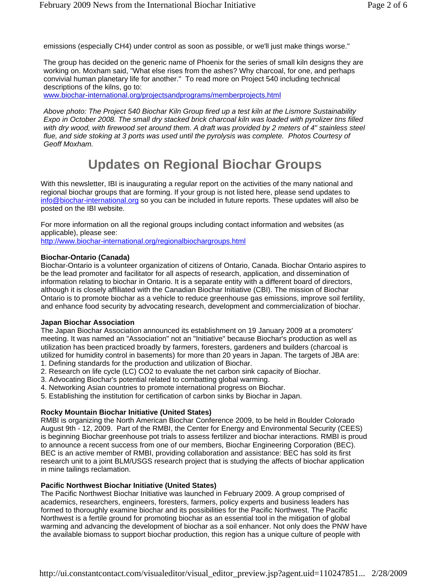emissions (especially CH4) under control as soon as possible, or we'll just make things worse."

The group has decided on the generic name of Phoenix for the series of small kiln designs they are working on. Moxham said, "What else rises from the ashes? Why charcoal, for one, and perhaps convivial human planetary life for another." To read more on Project 540 including technical descriptions of the kilns, go to:

www.biochar-international.org/projectsandprograms/memberprojects.html

*Above photo: The Project 540 Biochar Kiln Group fired up a test kiln at the Lismore Sustainability Expo in October 2008. The small dry stacked brick charcoal kiln was loaded with pyrolizer tins filled with dry wood, with firewood set around them. A draft was provided by 2 meters of 4" stainless steel flue, and side stoking at 3 ports was used until the pyrolysis was complete. Photos Courtesy of Geoff Moxham.*

# **Updates on Regional Biochar Groups**

With this newsletter, IBI is inaugurating a regular report on the activities of the many national and regional biochar groups that are forming. If your group is not listed here, please send updates to info@biochar-international.org so you can be included in future reports. These updates will also be posted on the IBI website.

For more information on all the regional groups including contact information and websites (as applicable), please see:

http://www.biochar-international.org/regionalbiochargroups.html

#### **Biochar-Ontario (Canada)**

Biochar-Ontario is a volunteer organization of citizens of Ontario, Canada. Biochar Ontario aspires to be the lead promoter and facilitator for all aspects of research, application, and dissemination of information relating to biochar in Ontario. It is a separate entity with a different board of directors, although it is closely affiliated with the Canadian Biochar Initiative (CBI). The mission of Biochar Ontario is to promote biochar as a vehicle to reduce greenhouse gas emissions, improve soil fertility, and enhance food security by advocating research, development and commercialization of biochar.

#### **Japan Biochar Association**

The Japan Biochar Association announced its establishment on 19 January 2009 at a promoters' meeting. It was named an "Association" not an "Initiative" because Biochar's production as well as utilization has been practiced broadly by farmers, foresters, gardeners and builders (charcoal is utilized for humidity control in basements) for more than 20 years in Japan. The targets of JBA are: 1. Defining standards for the production and utilization of Biochar.

- 2. Research on life cycle (LC) CO2 to evaluate the net carbon sink capacity of Biochar.
- 3. Advocating Biochar's potential related to combatting global warming.
- 4. Networking Asian countries to promote international progress on Biochar.
- 5. Establishing the institution for certification of carbon sinks by Biochar in Japan.

#### **Rocky Mountain Biochar Initiative (United States)**

RMBI is organizing the North American Biochar Conference 2009, to be held in Boulder Colorado August 9th - 12, 2009. Part of the RMBI, the Center for Energy and Environmental Security (CEES) is beginning Biochar greenhouse pot trials to assess fertilizer and biochar interactions. RMBI is proud to announce a recent success from one of our members, Biochar Engineering Corporation (BEC). BEC is an active member of RMBI, providing collaboration and assistance: BEC has sold its first research unit to a joint BLM/USGS research project that is studying the affects of biochar application in mine tailings reclamation.

#### **Pacific Northwest Biochar Initiative (United States)**

The Pacific Northwest Biochar Initiative was launched in February 2009. A group comprised of academics, researchers, engineers, foresters, farmers, policy experts and business leaders has formed to thoroughly examine biochar and its possibilities for the Pacific Northwest. The Pacific Northwest is a fertile ground for promoting biochar as an essential tool in the mitigation of global warming and advancing the development of biochar as a soil enhancer. Not only does the PNW have the available biomass to support biochar production, this region has a unique culture of people with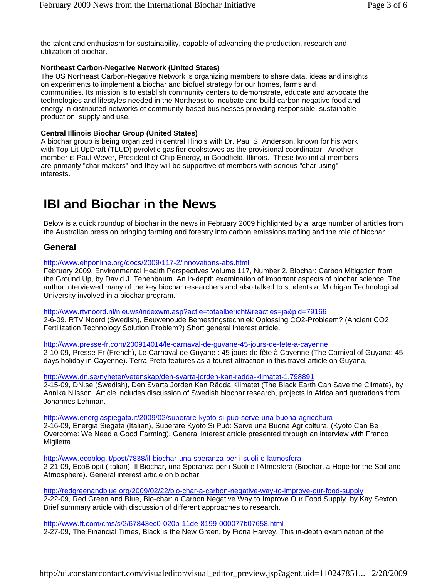the talent and enthusiasm for sustainability, capable of advancing the production, research and utilization of biochar.

#### **Northeast Carbon-Negative Network (United States)**

The US Northeast Carbon-Negative Network is organizing members to share data, ideas and insights on experiments to implement a biochar and biofuel strategy for our homes, farms and communities. Its mission is to establish community centers to demonstrate, educate and advocate the technologies and lifestyles needed in the Northeast to incubate and build carbon-negative food and energy in distributed networks of community-based businesses providing responsible, sustainable production, supply and use.

#### **Central Illinois Biochar Group (United States)**

A biochar group is being organized in central Illinois with Dr. Paul S. Anderson, known for his work with Top-Lit UpDraft (TLUD) pyrolytic gasifier cookstoves as the provisional coordinator. Another member is Paul Wever, President of Chip Energy, in Goodfield, Illinois. These two initial members are primarily "char makers" and they will be supportive of members with serious "char using" interests.

# **IBI and Biochar in the News**

Below is a quick roundup of biochar in the news in February 2009 highlighted by a large number of articles from the Australian press on bringing farming and forestry into carbon emissions trading and the role of biochar.

### **General**

http://www.ehponline.org/docs/2009/117-2/innovations-abs.html

February 2009, Environmental Health Perspectives Volume 117, Number 2, Biochar: Carbon Mitigation from the Ground Up, by David J. Tenenbaum. An in-depth examination of important aspects of biochar science. The author interviewed many of the key biochar researchers and also talked to students at Michigan Technological University involved in a biochar program.

http://www.rtvnoord.nl/nieuws/indexwm.asp?actie=totaalbericht&reacties=ja&pid=79166 2-6-09, RTV Noord (Swedish), Eeuwenoude Bemestingstechniek Oplossing CO2-Probleem? (Ancient CO2 Fertilization Technology Solution Problem?) Short general interest article.

http://www.presse-fr.com/200914014/le-carnaval-de-guyane-45-jours-de-fete-a-cayenne 2-10-09, Presse-Fr (French), Le Carnaval de Guyane : 45 jours de fête à Cayenne (The Carnival of Guyana: 45 days holiday in Cayenne). Terra Preta features as a tourist attraction in this travel article on Guyana.

http://www.dn.se/nyheter/vetenskap/den-svarta-jorden-kan-radda-klimatet-1.798891

2-15-09, DN.se (Swedish), Den Svarta Jorden Kan Rädda Klimatet (The Black Earth Can Save the Climate), by Annika Nilsson. Article includes discussion of Swedish biochar research, projects in Africa and quotations from Johannes Lehman.

http://www.energiaspiegata.it/2009/02/superare-kyoto-si-puo-serve-una-buona-agricoltura 2-16-09, Energia Siegata (Italian), Superare Kyoto Si Può: Serve una Buona Agricoltura. (Kyoto Can Be Overcome: We Need a Good Farming). General interest article presented through an interview with Franco Miglietta.

http://www.ecoblog.it/post/7838/il-biochar-una-speranza-per-i-suoli-e-latmosfera 2-21-09, EcoBlogit (Italian), Il Biochar, una Speranza per i Suoli e l'Atmosfera (Biochar, a Hope for the Soil and Atmosphere). General interest article on biochar.

http://redgreenandblue.org/2009/02/22/bio-char-a-carbon-negative-way-to-improve-our-food-supply 2-22-09, Red Green and Blue, Bio-char: a Carbon Negative Way to Improve Our Food Supply, by Kay Sexton. Brief summary article with discussion of different approaches to research.

http://www.ft.com/cms/s/2/67843ec0-020b-11de-8199-000077b07658.html 2-27-09, The Financial Times, Black is the New Green, by Fiona Harvey. This in-depth examination of the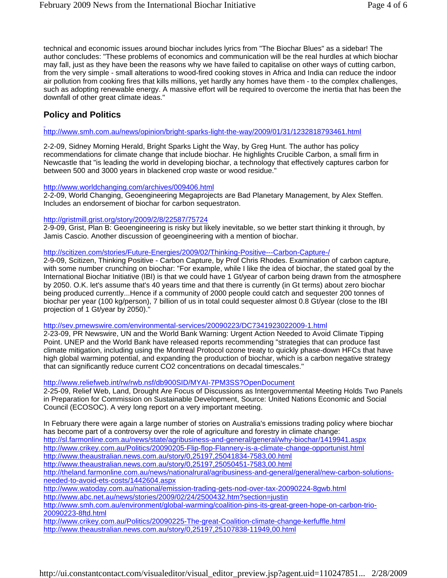technical and economic issues around biochar includes lyrics from "The Biochar Blues" as a sidebar! The author concludes: "These problems of economics and communication will be the real hurdles at which biochar may fall, just as they have been the reasons why we have failed to capitalise on other ways of cutting carbon, from the very simple - small alterations to wood-fired cooking stoves in Africa and India can reduce the indoor air pollution from cooking fires that kills millions, yet hardly any homes have them - to the complex challenges, such as adopting renewable energy. A massive effort will be required to overcome the inertia that has been the downfall of other great climate ideas."

### **Policy and Politics**

#### http://www.smh.com.au/news/opinion/bright-sparks-light-the-way/2009/01/31/1232818793461.html

2-2-09, Sidney Morning Herald, Bright Sparks Light the Way, by Greg Hunt. The author has policy recommendations for climate change that include biochar. He highlights Crucible Carbon, a small firm in Newcastle that "is leading the world in developing biochar, a technology that effectively captures carbon for between 500 and 3000 years in blackened crop waste or wood residue."

#### http://www.worldchanging.com/archives/009406.html

2-2-09, World Changing, Geoengineering Megaprojects are Bad Planetary Management, by Alex Steffen. Includes an endorsement of biochar for carbon sequestraton.

#### http://gristmill.grist.org/story/2009/2/8/22587/75724

2-9-09, Grist, Plan B: Geoengineering is risky but likely inevitable, so we better start thinking it through, by Jamis Cascio. Another discussion of geoengineering with a mention of biochar.

#### http://scitizen.com/stories/Future-Energies/2009/02/Thinking-Positive---Carbon-Capture-/

2-9-09, Scitizen, Thinking Positive - Carbon Capture, by Prof Chris Rhodes. Examination of carbon capture, with some number crunching on biochar: "For example, while I like the idea of biochar, the stated goal by the International Biochar Initiative (IBI) is that we could have 1 Gt/year of carbon being drawn from the atmosphere by 2050. O.K. let's assume that's 40 years time and that there is currently (in Gt terms) about zero biochar being produced currently...Hence if a community of 2000 people could catch and sequester 200 tonnes of biochar per year (100 kg/person), 7 billion of us in total could sequester almost 0.8 Gt/year (close to the IBI projection of 1 Gt/year by 2050)."

#### http://sev.prnewswire.com/environmental-services/20090223/DC7341923022009-1.html

2-23-09, PR Newswire, UN and the World Bank Warning: Urgent Action Needed to Avoid Climate Tipping Point. UNEP and the World Bank have released reports recommending "strategies that can produce fast climate mitigation, including using the Montreal Protocol ozone treaty to quickly phase-down HFCs that have high global warming potential, and expanding the production of biochar, which is a carbon negative strategy that can significantly reduce current CO2 concentrations on decadal timescales."

#### http://www.reliefweb.int/rw/rwb.nsf/db900SID/MYAI-7PM3SS?OpenDocument

2-25-09, Relief Web, Land, Drought Are Focus of Discussions as Intergovernmental Meeting Holds Two Panels in Preparation for Commission on Sustainable Development, Source: United Nations Economic and Social Council (ECOSOC). A very long report on a very important meeting.

In February there were again a large number of stories on Australia's emissions trading policy where biochar has become part of a controversy over the role of agriculture and forestry in climate change: http://sl.farmonline.com.au/news/state/agribusiness-and-general/general/why-biochar/1419941.aspx http://www.crikey.com.au/Politics/20090205-Flip-flop-Flannery-is-a-climate-change-opportunist.html http://www.theaustralian.news.com.au/story/0,25197,25041834-7583,00.html http://www.theaustralian.news.com.au/story/0,25197,25050451-7583,00.html http://theland.farmonline.com.au/news/nationalrural/agribusiness-and-general/general/new-carbon-solutionsneeded-to-avoid-ets-costs/1442604.aspx http://www.watoday.com.au/national/emission-trading-gets-nod-over-tax-20090224-8gwb.html http://www.abc.net.au/news/stories/2009/02/24/2500432.htm?section=justin http://www.smh.com.au/environment/global-warming/coalition-pins-its-great-green-hope-on-carbon-trio-20090223-8ftd.html http://www.crikey.com.au/Politics/20090225-The-great-Coalition-climate-change-kerfuffle.html

http://www.theaustralian.news.com.au/story/0,25197,25107838-11949,00.html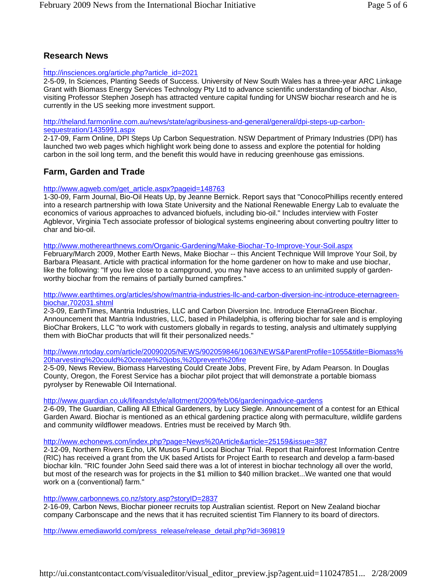### **Research News**

#### http://insciences.org/article.php?article\_id=2021

2-5-09, In Sciences, Planting Seeds of Success. University of New South Wales has a three-year ARC Linkage Grant with Biomass Energy Services Technology Pty Ltd to advance scientific understanding of biochar. Also, visiting Professor Stephen Joseph has attracted venture capital funding for UNSW biochar research and he is currently in the US seeking more investment support.

http://theland.farmonline.com.au/news/state/agribusiness-and-general/general/dpi-steps-up-carbonsequestration/1435991.aspx

2-17-09, Farm Online, DPI Steps Up Carbon Sequestration. NSW Department of Primary Industries (DPI) has launched two web pages which highlight work being done to assess and explore the potential for holding carbon in the soil long term, and the benefit this would have in reducing greenhouse gas emissions.

### **Farm, Garden and Trade**

#### http://www.agweb.com/get\_article.aspx?pageid=148763

1-30-09, Farm Journal, Bio-Oil Heats Up, by Jeanne Bernick. Report says that "ConocoPhillips recently entered into a research partnership with Iowa State University and the National Renewable Energy Lab to evaluate the economics of various approaches to advanced biofuels, including bio-oil." Includes interview with Foster Agblevor, Virginia Tech associate professor of biological systems engineering about converting poultry litter to char and bio-oil.

#### http://www.motherearthnews.com/Organic-Gardening/Make-Biochar-To-Improve-Your-Soil.aspx

February/March 2009, Mother Earth News, Make Biochar -- this Ancient Technique Will Improve Your Soil, by Barbara Pleasant. Article with practical information for the home gardener on how to make and use biochar, like the following: "If you live close to a campground, you may have access to an unlimited supply of gardenworthy biochar from the remains of partially burned campfires."

#### http://www.earthtimes.org/articles/show/mantria-industries-llc-and-carbon-diversion-inc-introduce-eternagreenbiochar,702031.shtml

2-3-09, EarthTimes, Mantria Industries, LLC and Carbon Diversion Inc. Introduce EternaGreen Biochar. Announcement that Mantria Industries, LLC, based in Philadelphia, is offering biochar for sale and is employing BioChar Brokers, LLC "to work with customers globally in regards to testing, analysis and ultimately supplying them with BioChar products that will fit their personalized needs."

http://www.nrtoday.com/article/20090205/NEWS/902059846/1063/NEWS&ParentProfile=1055&title=Biomass% 20harvesting%20could%20create%20jobs,%20prevent%20fire

2-5-09, News Review, Biomass Harvesting Could Create Jobs, Prevent Fire, by Adam Pearson. In Douglas County, Oregon, the Forest Service has a biochar pilot project that will demonstrate a portable biomass pyrolyser by Renewable Oil International.

#### http://www.guardian.co.uk/lifeandstyle/allotment/2009/feb/06/gardeningadvice-gardens

2-6-09, The Guardian, Calling All Ethical Gardeners, by Lucy Siegle. Announcement of a contest for an Ethical Garden Award. Biochar is mentioned as an ethical gardening practice along with permaculture, wildlife gardens and community wildflower meadows. Entries must be received by March 9th.

#### http://www.echonews.com/index.php?page=News%20Article&article=25159&issue=387

2-12-09, Northern Rivers Echo, UK Musos Fund Local Biochar Trial. Report that Rainforest Information Centre (RIC) has received a grant from the UK based Artists for Project Earth to research and develop a farm-based biochar kiln. "RIC founder John Seed said there was a lot of interest in biochar technology all over the world, but most of the research was for projects in the \$1 million to \$40 million bracket...We wanted one that would work on a (conventional) farm."

#### http://www.carbonnews.co.nz/story.asp?storyID=2837

2-16-09, Carbon News, Biochar pioneer recruits top Australian scientist. Report on New Zealand biochar company Carbonscape and the news that it has recruited scientist Tim Flannery to its board of directors.

http://www.emediaworld.com/press\_release/release\_detail.php?id=369819